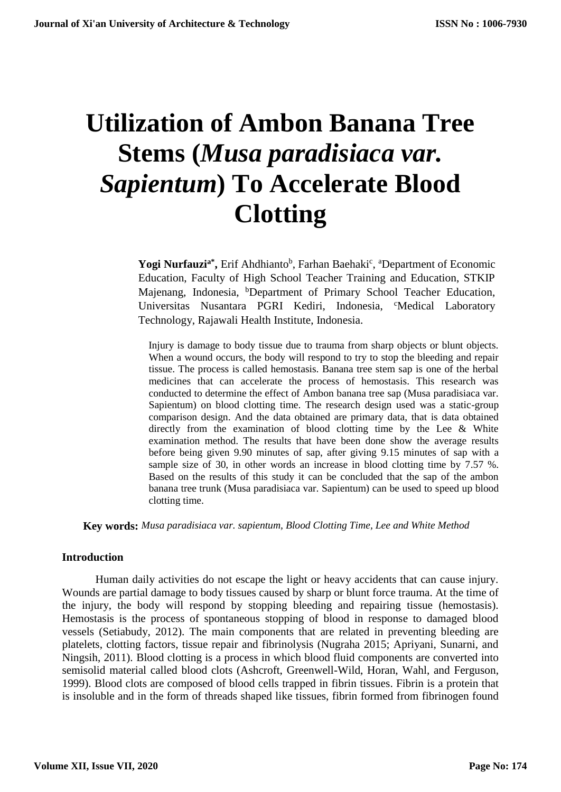# **Utilization of Ambon Banana Tree Stems (***Musa paradisiaca var. Sapientum***) To Accelerate Blood Clotting**

Yogi Nurfauzi<sup>a\*</sup>, Erif Ahdhianto<sup>b</sup>, Farhan Baehaki<sup>c</sup>, <sup>a</sup>Department of Economic Education, Faculty of High School Teacher Training and Education, STKIP Majenang, Indonesia, <sup>b</sup>Department of Primary School Teacher Education, Universitas Nusantara PGRI Kediri, Indonesia, <sup>c</sup>Medical Laboratory Technology, Rajawali Health Institute, Indonesia.

Injury is damage to body tissue due to trauma from sharp objects or blunt objects. When a wound occurs, the body will respond to try to stop the bleeding and repair tissue. The process is called hemostasis. Banana tree stem sap is one of the herbal medicines that can accelerate the process of hemostasis. This research was conducted to determine the effect of Ambon banana tree sap (Musa paradisiaca var. Sapientum) on blood clotting time. The research design used was a static-group comparison design. And the data obtained are primary data, that is data obtained directly from the examination of blood clotting time by the Lee & White examination method. The results that have been done show the average results before being given 9.90 minutes of sap, after giving 9.15 minutes of sap with a sample size of 30, in other words an increase in blood clotting time by 7.57 %. Based on the results of this study it can be concluded that the sap of the ambon banana tree trunk (Musa paradisiaca var. Sapientum) can be used to speed up blood clotting time.

**Key words:** *Musa paradisiaca var. sapientum, Blood Clotting Time, Lee and White Method*

## **Introduction**

Human daily activities do not escape the light or heavy accidents that can cause injury. Wounds are partial damage to body tissues caused by sharp or blunt force trauma. At the time of the injury, the body will respond by stopping bleeding and repairing tissue (hemostasis). Hemostasis is the process of spontaneous stopping of blood in response to damaged blood vessels (Setiabudy, 2012). The main components that are related in preventing bleeding are platelets, clotting factors, tissue repair and fibrinolysis (Nugraha 2015; Apriyani, Sunarni, and Ningsih, 2011). Blood clotting is a process in which blood fluid components are converted into semisolid material called blood clots (Ashcroft, Greenwell-Wild, Horan, Wahl, and Ferguson, 1999). Blood clots are composed of blood cells trapped in fibrin tissues. Fibrin is a protein that is insoluble and in the form of threads shaped like tissues, fibrin formed from fibrinogen found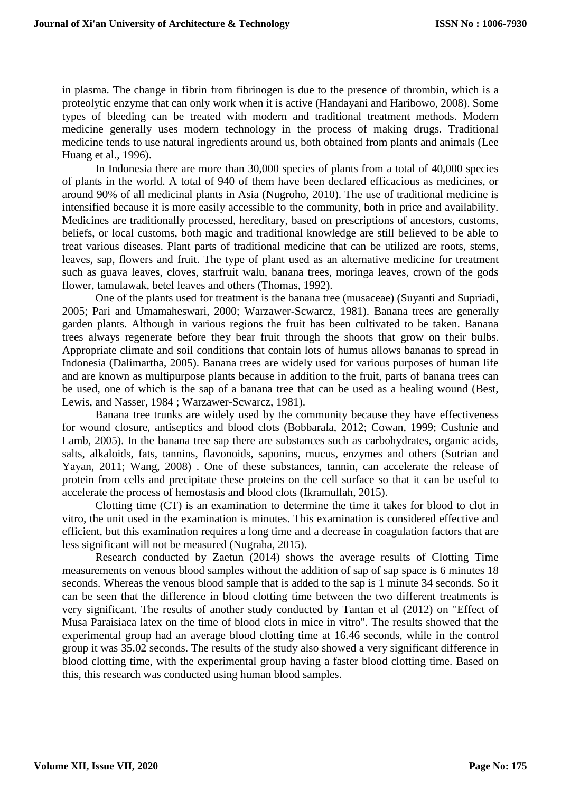in plasma. The change in fibrin from fibrinogen is due to the presence of thrombin, which is a proteolytic enzyme that can only work when it is active (Handayani and Haribowo, 2008). Some types of bleeding can be treated with modern and traditional treatment methods. Modern medicine generally uses modern technology in the process of making drugs. Traditional medicine tends to use natural ingredients around us, both obtained from plants and animals (Lee Huang et al., 1996).

In Indonesia there are more than 30,000 species of plants from a total of 40,000 species of plants in the world. A total of 940 of them have been declared efficacious as medicines, or around 90% of all medicinal plants in Asia (Nugroho, 2010). The use of traditional medicine is intensified because it is more easily accessible to the community, both in price and availability. Medicines are traditionally processed, hereditary, based on prescriptions of ancestors, customs, beliefs, or local customs, both magic and traditional knowledge are still believed to be able to treat various diseases. Plant parts of traditional medicine that can be utilized are roots, stems, leaves, sap, flowers and fruit. The type of plant used as an alternative medicine for treatment such as guava leaves, cloves, starfruit walu, banana trees, moringa leaves, crown of the gods flower, tamulawak, betel leaves and others (Thomas, 1992).

One of the plants used for treatment is the banana tree (musaceae) (Suyanti and Supriadi, 2005; Pari and Umamaheswari, 2000; Warzawer-Scwarcz, 1981). Banana trees are generally garden plants. Although in various regions the fruit has been cultivated to be taken. Banana trees always regenerate before they bear fruit through the shoots that grow on their bulbs. Appropriate climate and soil conditions that contain lots of humus allows bananas to spread in Indonesia (Dalimartha, 2005). Banana trees are widely used for various purposes of human life and are known as multipurpose plants because in addition to the fruit, parts of banana trees can be used, one of which is the sap of a banana tree that can be used as a healing wound (Best, Lewis, and Nasser, 1984 ; Warzawer-Scwarcz, 1981).

Banana tree trunks are widely used by the community because they have effectiveness for wound closure, antiseptics and blood clots (Bobbarala, 2012; Cowan, 1999; Cushnie and Lamb, 2005). In the banana tree sap there are substances such as carbohydrates, organic acids, salts, alkaloids, fats, tannins, flavonoids, saponins, mucus, enzymes and others (Sutrian and Yayan, 2011; Wang, 2008) . One of these substances, tannin, can accelerate the release of protein from cells and precipitate these proteins on the cell surface so that it can be useful to accelerate the process of hemostasis and blood clots (Ikramullah, 2015).

Clotting time (CT) is an examination to determine the time it takes for blood to clot in vitro, the unit used in the examination is minutes. This examination is considered effective and efficient, but this examination requires a long time and a decrease in coagulation factors that are less significant will not be measured (Nugraha, 2015).

Research conducted by Zaetun (2014) shows the average results of Clotting Time measurements on venous blood samples without the addition of sap of sap space is 6 minutes 18 seconds. Whereas the venous blood sample that is added to the sap is 1 minute 34 seconds. So it can be seen that the difference in blood clotting time between the two different treatments is very significant. The results of another study conducted by Tantan et al (2012) on "Effect of Musa Paraisiaca latex on the time of blood clots in mice in vitro". The results showed that the experimental group had an average blood clotting time at 16.46 seconds, while in the control group it was 35.02 seconds. The results of the study also showed a very significant difference in blood clotting time, with the experimental group having a faster blood clotting time. Based on this, this research was conducted using human blood samples.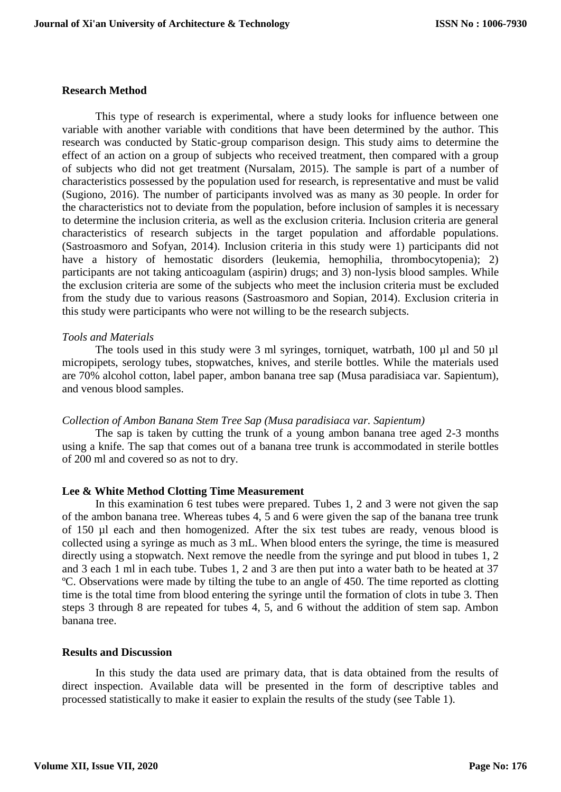#### **Research Method**

This type of research is experimental, where a study looks for influence between one variable with another variable with conditions that have been determined by the author. This research was conducted by Static-group comparison design. This study aims to determine the effect of an action on a group of subjects who received treatment, then compared with a group of subjects who did not get treatment (Nursalam, 2015). The sample is part of a number of characteristics possessed by the population used for research, is representative and must be valid (Sugiono, 2016). The number of participants involved was as many as 30 people. In order for the characteristics not to deviate from the population, before inclusion of samples it is necessary to determine the inclusion criteria, as well as the exclusion criteria. Inclusion criteria are general characteristics of research subjects in the target population and affordable populations. (Sastroasmoro and Sofyan, 2014). Inclusion criteria in this study were 1) participants did not have a history of hemostatic disorders (leukemia, hemophilia, thrombocytopenia); 2) participants are not taking anticoagulam (aspirin) drugs; and 3) non-lysis blood samples. While the exclusion criteria are some of the subjects who meet the inclusion criteria must be excluded from the study due to various reasons (Sastroasmoro and Sopian, 2014). Exclusion criteria in this study were participants who were not willing to be the research subjects.

### *Tools and Materials*

The tools used in this study were 3 ml syringes, torniquet, watrbath, 100  $\mu$ l and 50  $\mu$ l micropipets, serology tubes, stopwatches, knives, and sterile bottles. While the materials used are 70% alcohol cotton, label paper, ambon banana tree sap (Musa paradisiaca var. Sapientum), and venous blood samples.

#### *Collection of Ambon Banana Stem Tree Sap (Musa paradisiaca var. Sapientum)*

The sap is taken by cutting the trunk of a young ambon banana tree aged 2-3 months using a knife. The sap that comes out of a banana tree trunk is accommodated in sterile bottles of 200 ml and covered so as not to dry.

#### **Lee & White Method Clotting Time Measurement**

In this examination 6 test tubes were prepared. Tubes 1, 2 and 3 were not given the sap of the ambon banana tree. Whereas tubes 4, 5 and 6 were given the sap of the banana tree trunk of 150 µl each and then homogenized. After the six test tubes are ready, venous blood is collected using a syringe as much as 3 mL. When blood enters the syringe, the time is measured directly using a stopwatch. Next remove the needle from the syringe and put blood in tubes 1, 2 and 3 each 1 ml in each tube. Tubes 1, 2 and 3 are then put into a water bath to be heated at 37 ºC. Observations were made by tilting the tube to an angle of 450. The time reported as clotting time is the total time from blood entering the syringe until the formation of clots in tube 3. Then steps 3 through 8 are repeated for tubes 4, 5, and 6 without the addition of stem sap. Ambon banana tree.

#### **Results and Discussion**

In this study the data used are primary data, that is data obtained from the results of direct inspection. Available data will be presented in the form of descriptive tables and processed statistically to make it easier to explain the results of the study (see Table 1).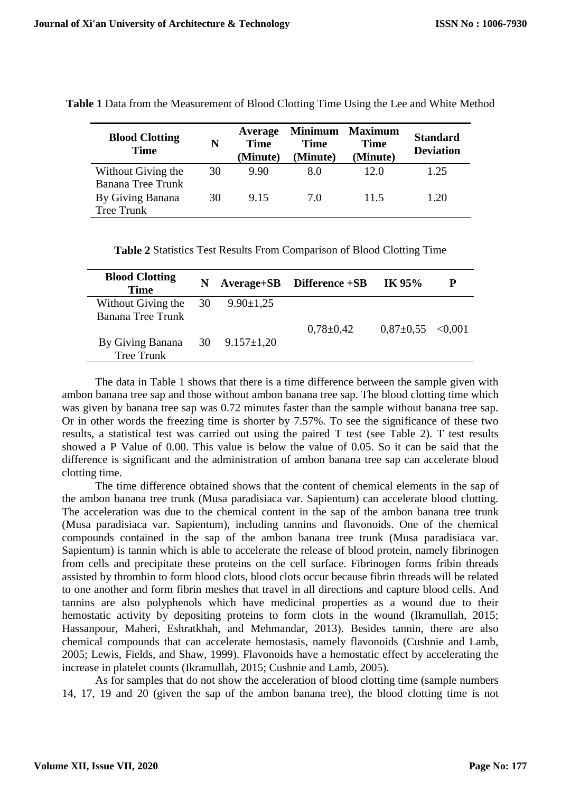| <b>Blood Clotting</b><br><b>Time</b> | N  | Average<br><b>Time</b><br>(Minute) | <b>Minimum</b><br>Time<br>(Minute) | <b>Maximum</b><br><b>Time</b><br>(Minute) | <b>Standard</b><br><b>Deviation</b> |
|--------------------------------------|----|------------------------------------|------------------------------------|-------------------------------------------|-------------------------------------|
| Without Giving the                   | 30 | 9.90                               | 8.0                                | 12.0                                      | 1.25                                |
| Banana Tree Trunk                    |    |                                    |                                    |                                           |                                     |
| By Giving Banana                     | 30 | 9.15                               | 7.0                                | 11.5                                      | 1.20                                |
| <b>Tree Trunk</b>                    |    |                                    |                                    |                                           |                                     |

**Table 1** Data from the Measurement of Blood Clotting Time Using the Lee and White Method

**Table 2** Statistics Test Results From Comparison of Blood Clotting Time

| <b>Blood Clotting</b><br><b>Time</b> | N |                     | $Average + SB$ Difference $+SB$ | IK 95%                |  |
|--------------------------------------|---|---------------------|---------------------------------|-----------------------|--|
| Without Giving the $30$              |   | $9.90 \pm 1.25$     |                                 |                       |  |
| Banana Tree Trunk                    |   |                     |                                 |                       |  |
|                                      |   |                     | $0,78 \pm 0,42$                 | $0,87\pm0,55$ < 0.001 |  |
| By Giving Banana                     |   | 30 $9.157 \pm 1,20$ |                                 |                       |  |
| Tree Trunk                           |   |                     |                                 |                       |  |

The data in Table 1 shows that there is a time difference between the sample given with ambon banana tree sap and those without ambon banana tree sap. The blood clotting time which was given by banana tree sap was 0.72 minutes faster than the sample without banana tree sap. Or in other words the freezing time is shorter by 7.57%. To see the significance of these two results, a statistical test was carried out using the paired T test (see Table 2). T test results showed a P Value of 0.00. This value is below the value of 0.05. So it can be said that the difference is significant and the administration of ambon banana tree sap can accelerate blood clotting time.

The time difference obtained shows that the content of chemical elements in the sap of the ambon banana tree trunk (Musa paradisiaca var. Sapientum) can accelerate blood clotting. The acceleration was due to the chemical content in the sap of the ambon banana tree trunk (Musa paradisiaca var. Sapientum), including tannins and flavonoids. One of the chemical compounds contained in the sap of the ambon banana tree trunk (Musa paradisiaca var. Sapientum) is tannin which is able to accelerate the release of blood protein, namely fibrinogen from cells and precipitate these proteins on the cell surface. Fibrinogen forms fribin threads assisted by thrombin to form blood clots, blood clots occur because fibrin threads will be related to one another and form fibrin meshes that travel in all directions and capture blood cells. And tannins are also polyphenols which have medicinal properties as a wound due to their hemostatic activity by depositing proteins to form clots in the wound (Ikramullah, 2015; Hassanpour, Maheri, Eshratkhah, and Mehmandar, 2013). Besides tannin, there are also chemical compounds that can accelerate hemostasis, namely flavonoids (Cushnie and Lamb, 2005; Lewis, Fields, and Shaw, 1999). Flavonoids have a hemostatic effect by accelerating the increase in platelet counts (Ikramullah, 2015; Cushnie and Lamb, 2005).

As for samples that do not show the acceleration of blood clotting time (sample numbers 14, 17, 19 and 20 (given the sap of the ambon banana tree), the blood clotting time is not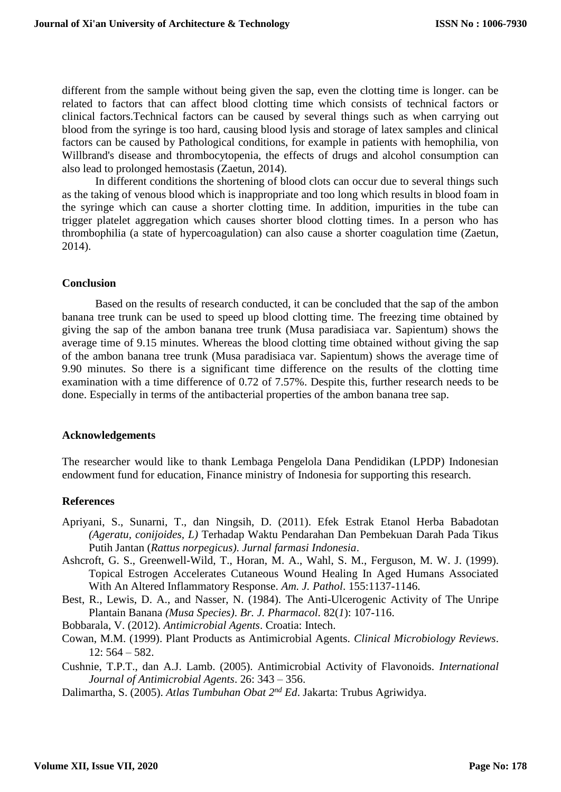different from the sample without being given the sap, even the clotting time is longer. can be related to factors that can affect blood clotting time which consists of technical factors or clinical factors.Technical factors can be caused by several things such as when carrying out blood from the syringe is too hard, causing blood lysis and storage of latex samples and clinical factors can be caused by Pathological conditions, for example in patients with hemophilia, von Willbrand's disease and thrombocytopenia, the effects of drugs and alcohol consumption can also lead to prolonged hemostasis (Zaetun, 2014).

In different conditions the shortening of blood clots can occur due to several things such as the taking of venous blood which is inappropriate and too long which results in blood foam in the syringe which can cause a shorter clotting time. In addition, impurities in the tube can trigger platelet aggregation which causes shorter blood clotting times. In a person who has thrombophilia (a state of hypercoagulation) can also cause a shorter coagulation time (Zaetun, 2014).

## **Conclusion**

Based on the results of research conducted, it can be concluded that the sap of the ambon banana tree trunk can be used to speed up blood clotting time. The freezing time obtained by giving the sap of the ambon banana tree trunk (Musa paradisiaca var. Sapientum) shows the average time of 9.15 minutes. Whereas the blood clotting time obtained without giving the sap of the ambon banana tree trunk (Musa paradisiaca var. Sapientum) shows the average time of 9.90 minutes. So there is a significant time difference on the results of the clotting time examination with a time difference of 0.72 of 7.57%. Despite this, further research needs to be done. Especially in terms of the antibacterial properties of the ambon banana tree sap.

#### **Acknowledgements**

The researcher would like to thank Lembaga Pengelola Dana Pendidikan (LPDP) Indonesian endowment fund for education, Finance ministry of Indonesia for supporting this research.

## **References**

- Apriyani, S., Sunarni, T., dan Ningsih, D. (2011). Efek Estrak Etanol Herba Babadotan *(Ageratu, conijoides, L)* Terhadap Waktu Pendarahan Dan Pembekuan Darah Pada Tikus Putih Jantan (*Rattus norpegicus)*. *Jurnal farmasi Indonesia*.
- Ashcroft, G. S., Greenwell-Wild, T., Horan, M. A., Wahl, S. M., Ferguson, M. W. J. (1999). Topical Estrogen Accelerates Cutaneous Wound Healing In Aged Humans Associated With An Altered Inflammatory Response. *Am. J. Pathol*. 155:1137-1146.

Best, R., Lewis, D. A., and Nasser, N. (1984). The Anti-Ulcerogenic Activity of The Unripe Plantain Banana *(Musa Species)*. *Br. J. Pharmacol.* 82(*1*): 107-116.

Bobbarala, V. (2012). *Antimicrobial Agents*. Croatia: Intech.

Cowan, M.M. (1999). Plant Products as Antimicrobial Agents. *Clinical Microbiology Reviews*.  $12: 564 - 582.$ 

Cushnie, T.P.T., dan A.J. Lamb. (2005). Antimicrobial Activity of Flavonoids. *International Journal of Antimicrobial Agents*. 26: 343 – 356.

Dalimartha, S. (2005). *Atlas Tumbuhan Obat 2nd Ed*. Jakarta: Trubus Agriwidya.